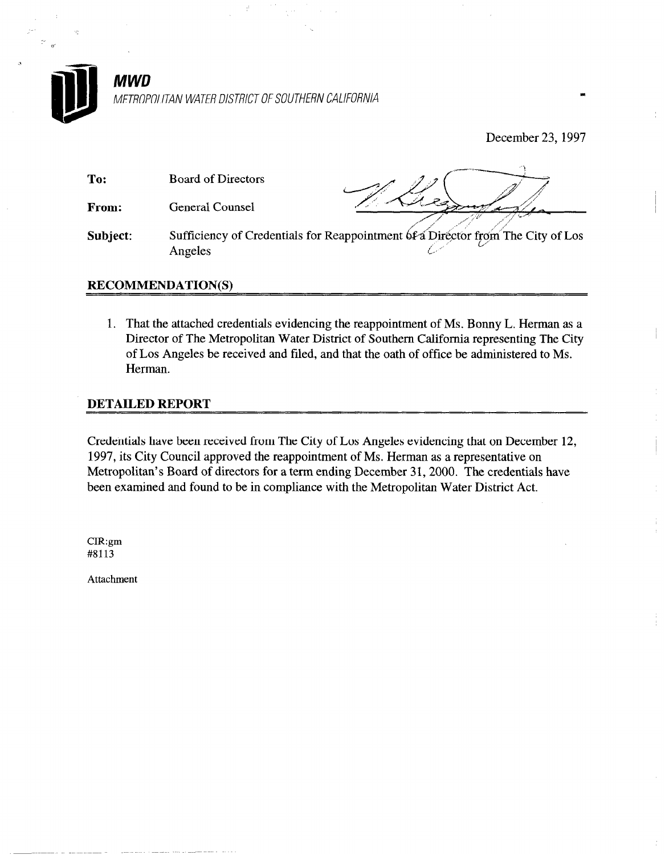

December 23,1997

 $\overline{1}$ 

| To:      | <b>Board of Directors</b> |                                                                                 |
|----------|---------------------------|---------------------------------------------------------------------------------|
| From:    | <b>General Counsel</b>    |                                                                                 |
| Subject: | Angeles                   | Sufficiency of Credentials for Reappointment 6f a Director from The City of Los |

## RECOMMENDATION(S)

1. That the attached credentials evidencing the reappointment of Ms. Bonny L. Herman as a Director of The Metropolitan Water District of Southern California representing The City of Los Angeles be received and filed, and that the oath of office be administered to Ms. Herman.

## DETAILED REPORT

Credentials have been received from The City of Los Angeles evidencing that on December 12, 1997, its City Council approved the reappointment of Ms. Herman as a representative on Metropolitan's Board of directors for a term ending December 31,200O. The credentials have been examined and found to be in compliance with the Metropolitan Water District Act.

CIR:gm #8113

a

Attachment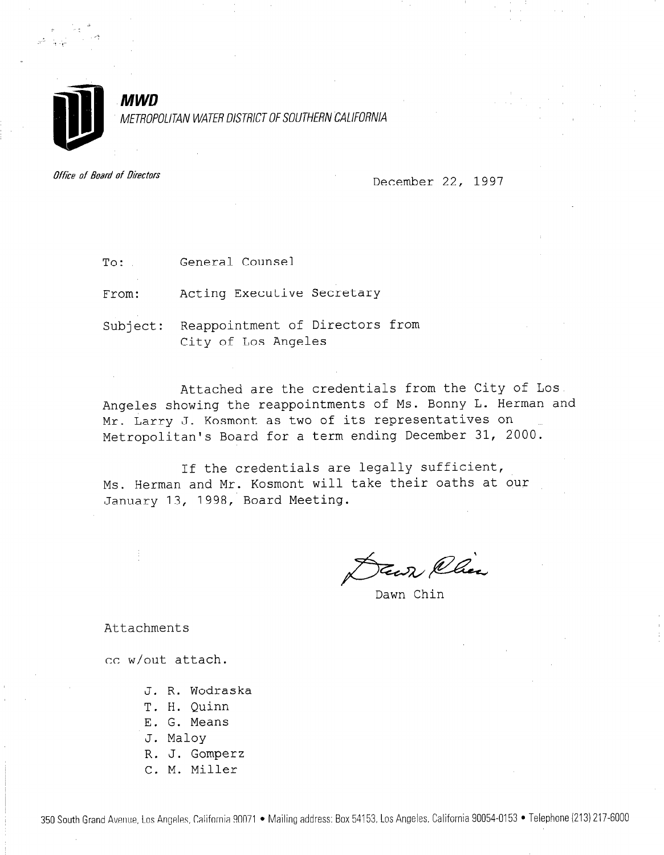

METROPOLITAN WATER DISTRICT OF SOUTHERN CALIFORNIA

Office of Board of Directors

**MWD** 

December 22, 1997

To: General Counsel

From: Acting Executive Secretary

Subject: Reappointment of Directors from City of Los Angeles

Attached are the credentials from the City of Los Angeles showing the reappointments of Ms. Bonny L. Herman and Mr. Larry J. Kosmont as two of its representatives on Metropolitan's Board for a term ending December 31, 2000.

If the credentials are legally sufficient, Ms. Herman and Myanny bannon and Mr. Kosmont will be the state of the original state of the state of the state of the state of the state of the state of the state of the state of the state of the state of the state of the MS. Heiman and Mi. Robmond will

 $\rightarrow$ Keep Chee

Attachments

cc w/out attach.

- J. R. Wodraska
- T. H. Quinn
- E. G. Means
- J. Malov
- R. J. Gomperz
- C. M. Miller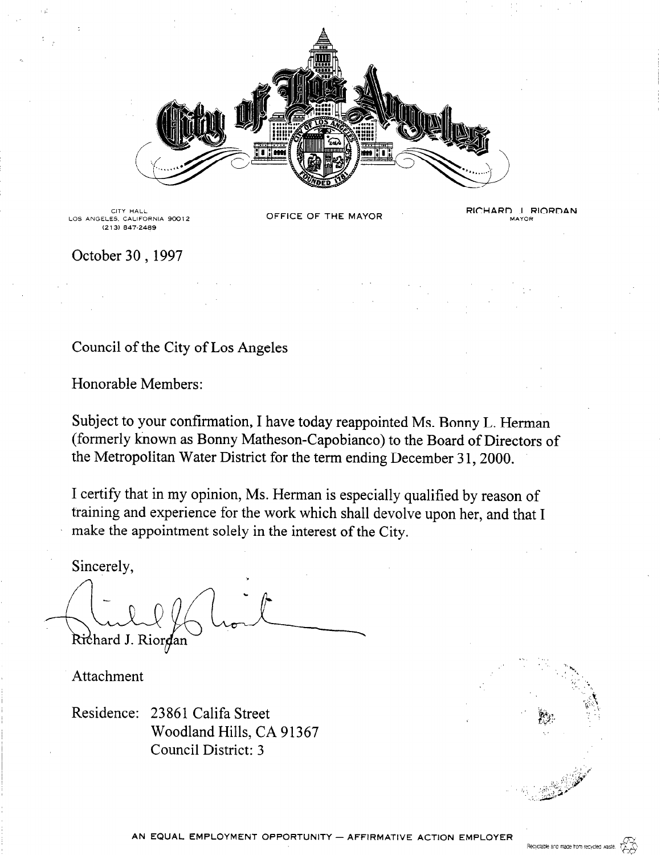

CITY HALL LOS ANGELES, CALIFORNIA 90012  $(213)$  847-2489

OFFICE OF THE MAYOR

RICHARD J. RIORDAN MAYOR

October 30, 1997

## Council of the City of Los Angeles

Honorable Members:

Subject to your confirmation, I have today reappointed Ms. Bonny L. Herman (formerly known as Bonny Matheson-Capobianco) to the Board of Directors of the Metropolitan Water District for the term ending December 31, 2000.

I certify that in my opinion, Ms. Herman is especially qualified by reason of training and experience for the work which shall devolve upon her, and that I make the appointment solely in the interest of the City.

Sincerely,

Richard J. Riordan

Attachment

Residence: 23861 Califa Street Woodland Hills, CA 91367 Council District: 3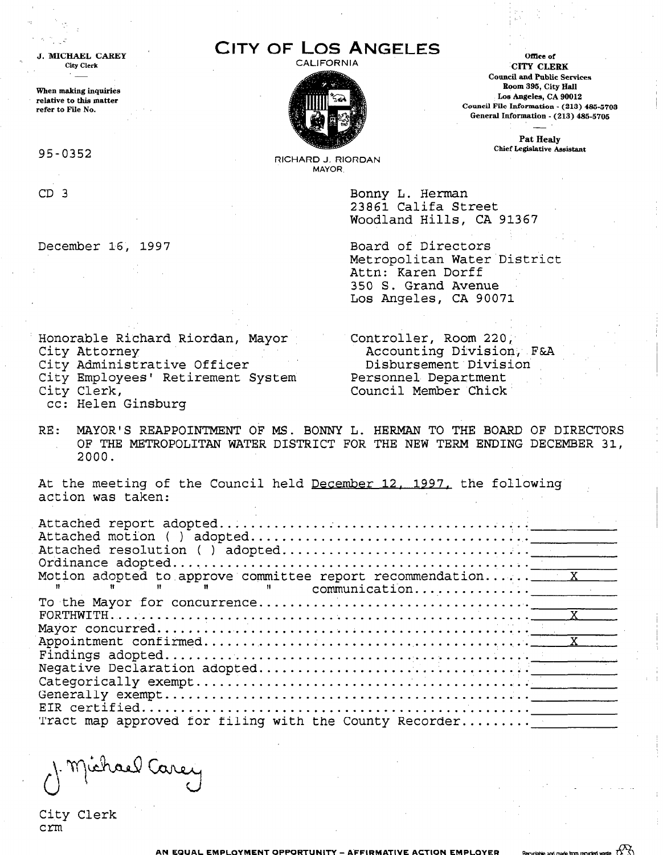CITY OF LOS ANGELES



CALIFORNIA CALIFORNIA CounciI and Public Services Boom 395, City HalI Los Angeles, CA 90012 Council File Information - (213) 435-5703 General Information - (213) 435-570s

> Pat Healy Chief Legislative Assistant

RICHARD J. RIORDAN MAYOR

> Bonny L. Herman 23861 Califa Street Woodland Hills, CA 91367

December 16, 1997 Board of Directors Metropolitan Water District Attn: Karen Dorff 350 S. Grand Avenue Los Angeles, CA 90071

Honorable Richard Riordan, Mayor Controller, Room 220,

RONOIADIE RICHAIG RIOIGAN, MAYOI ACCOUNTING DIVISION, FAA CITY AUDOLINEY<br>City Administrative Officer Disbursement Division City Administrative Officer and Disbursement Div

City Employees' Retirement System Personnel Department<br>City Clerk, Council Member Chick

cc: Helen Ginsburg

RE: MAYOR'S REAPPOINTMENT OF MS. BONNY L. HERMAN TO THE BOARD OF DIRECTORS MAIOR'S REAPPOINTMENT OF MS. BONNI L. HERMAN TO THE BOARD OF DIRECTOR<br>An International Term in Terms and the Strip and International Property and the Strip and OF THE METROPOLITAN WATER DISTRICT FOR THE NEW TERM ENDING DECEMBER 31, 2000.

At the meeting of the Council held December 12. 1997. the following At the meeting o

r). Michael Carey

City Clerk crm

J. MICHAEL CAREY City Clerk

when making inquiries relative to this matter refer to File No.

95-0352

CD 3

.:

 $\epsilon \lesssim \frac{1}{\sqrt{2}}$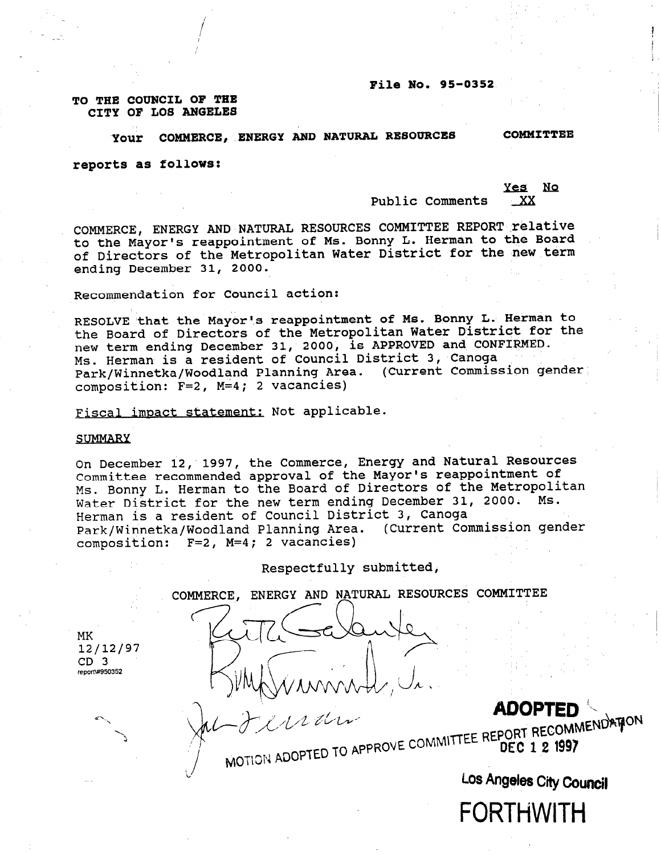#### File No. 95-0352

#### TO THE COUNCIL OF THE CITY OF LOS ANGELES

## Your COMMERCE, ENERGY AND NATURAL RESOURCES COMMITTEE

Yes No

reports as follows:

Public Comments XX

COMMERCE, ENERGY AND NATURAL RESOURCES COMMITTEE REPORT relative to the Mayor's reappointment of Ms. Bonny L. Herman to the Board of Directors of the Metropolitan Water District for the new term ending December 31, 2000.

Recommendation for Council action:

RESOLVE that the Mayor's reappointment of Ms. Bonny L. Herman to the Board of Directors of the Metropolitan Water District for the new term ending December 31, 2000, is APPROVED and CONFIRMED. Ms. Herman is a resident of Council District 3, Canoga Park/Winnetka/Woodland Planning Area. (Current Commission gender composition: F=2, M=4; 2 vacancies)

Fiscal impact statement: Not applicable.

#### SUMMARY

On December 12, 1997, the Commerce, Energy and Natural Resources Committee recommended approval of the Mayor's reappointment of Ms. Bonny L. Herman to the Board of Directors of the Metropolitan Water District for the new term ending December 31, 2000. Ms. Herman is a resident of Council District 3, Canoga Park/Winnetka/Woodland Planning Area. (Current Commission gender composition: F=2, M=4; 2 vacancies)

Respectfully submitted,

COMMERCE, ENERGY AND NATURAL RESOURCES COMMITTEE

MK 12112197 CD 3 report\#950352

MULTIEU

Los Angeles City Council

FORTHWITH

**ADOP1**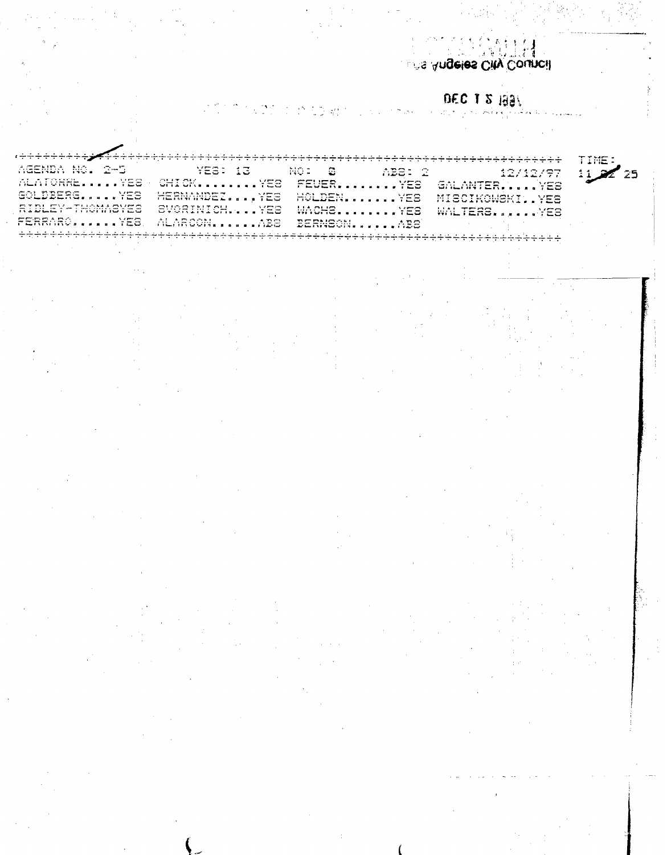**Sangeles City Council** 

# DEC 1 2 1991

 $\tau_{\rm{eff}}^{\rm{max}}$ ÷,

|                                                                                                                                                                                                                                                                                                                                                                                                     |                                                                                                                                                                                                                                                                                                                                                                                         |                                                                                                                                                                                                                                                                                  | $    -$<br>.                                                                                                                                                                                                                                                                                                                                                                                  |    |
|-----------------------------------------------------------------------------------------------------------------------------------------------------------------------------------------------------------------------------------------------------------------------------------------------------------------------------------------------------------------------------------------------------|-----------------------------------------------------------------------------------------------------------------------------------------------------------------------------------------------------------------------------------------------------------------------------------------------------------------------------------------------------------------------------------------|----------------------------------------------------------------------------------------------------------------------------------------------------------------------------------------------------------------------------------------------------------------------------------|-----------------------------------------------------------------------------------------------------------------------------------------------------------------------------------------------------------------------------------------------------------------------------------------------------------------------------------------------------------------------------------------------|----|
| and the<br><b>ALC 1979</b><br><u>.</u><br><br>$\sim$ $\sim$<br>.<br>.<br>س                                                                                                                                                                                                                                                                                                                          | a component and<br>$\sim$<br>.<br>اسه بد                                                                                                                                                                                                                                                                                                                                                | the state of the<br>$\sim$<br>流管空气<br>.<br>$\sim$ $\sim$<br>1.911.01<br>$\overline{\phantom{a}}$<br>.                                                                                                                                                                            | .<br>الانتجاب واستعارتكم الأستعادات                                                                                                                                                                                                                                                                                                                                                           | 令福 |
| $\bullet$ . $\bullet$ . The contract of $\bullet$<br>5.7 <sub>cm</sub><br>----                                                                                                                                                                                                                                                                                                                      | and a money of the<br>1.5 <sub>mm</sub><br>$     -$<br><b>WITH WEST ROOM B</b><br>.                                                                                                                                                                                                                                                                                                     | $- - - - - - -$<br>$1.7 - 1.7$<br>$\sim$ $\sim$<br>.                                                                                                                                                                                                                             | <b><i>CALL ALIMPED</i></b><br>$1.25 \pm 0.02$<br>the state of the state and state of the state of the state of the state of the state of the state of the state of the state of the state of the state of the state of the state of the state of the state of the state of the<br>---<br>ا من من المسابق المسابق المسابق المسابق المسابق المسابق المسابق المسابق المسابق المسابق المسابق المس |    |
| <b><i>Contact and the contact of the contact of the contact</i> of the contact of the contact of the contact of the contact of the contact of the contact of the contact of the contact of the contact of the contact of the contact </b><br>$5.0 - 7.5$<br>seat of a station in the com-<br>$    -$                                                                                                | <b>FRITTING LANGERY PROPERTY</b><br>$\sim$ $\sim$ $\sim$ $\sim$<br>committees have a wind a wind or a sales in the<br>- - -<br>$\frac{1}{2}$ . The fact that is a consequence in the consequence of the second second second second second second second second second second second second second second second second second second second second second secon                        | $1.5.51 \pm 0.0011$<br>$ -$<br>the second contract of the second contract of the second contract of the second contract of the second contract of the second contract of the second contract of the second contract of the second contract of the second cont<br>---<br>ساعد     | <b>A 4 ST PRIZE STATE AND A 50 ST PRODUCTS</b><br>$5.7$ and $7.7$<br>the comment of the second problem with the<br>---<br>i i a su se a l'escrets estat a la quest                                                                                                                                                                                                                            |    |
| $\sim$ $\sim$ $\sim$ $\sim$ $\sim$ $\sim$<br><b>The contract of the Contract Contract Contract Contract Contract Contract Contract Contract Contract Contract Contract Contract Contract Contract Contract Contract Contract Contract Contract Contract Contract Contract Con</b><br>المعاملات المساري والمعارب والموسور فالمعامل المعاملة والمنافسة المنافسة<br>in the children of the form of the | <b>CONTRACTOR AND INTERNATIONAL PROPERTY</b><br>$\mathbf{v}$ , $\mathbf{v}$ and $\mathbf{v}$ and $\mathbf{v}$<br>the contract of the contract of the contract of the contract of the contract of the contract of the contract of<br>----<br><b>NEW STATISTICS IN THE REAL PROPERTY</b>                                                                                                  | $\cdots$<br>1.7777<br>- - -<br>$\ldots$                                                                                                                                                                                                                                          | . <del>.</del><br>$\cdots$<br>TVI ISLA I SHAKING BAR BA<br>.                                                                                                                                                                                                                                                                                                                                  |    |
| and any property of the set of the<br>$5.7 \pm 0.00$<br>_______<br>to be the control<br>$\mathbf{F}$ and $\mathbf{F}$ is the set of the set of the set of the set of the set of the set of the set of the set of the set of the set of the set of the set of the set of the set of the set of the set of the set of the set o                                                                       | <b>ALL ARM MUNICIPS</b><br><b>A TA MA</b><br>and the second control of the second control of the second control of the second control of the second control of the second control of the second control of the second control of the second control of the second control o<br>.<br>it is been it it is but but it will make a simple and support the simple set of the simple state of | $T_{1}$ $T_{2}$ $T_{3}$ $T_{4}$ $T_{5}$ $T_{6}$ $T_{7}$ $T_{8}$ $T_{9}$ $T_{10}$ $T_{11}$ $T_{12}$ $T_{13}$ $T_{14}$<br>$2 - 77$<br>the way was successfully a first of<br>المعدا مطراب والوا<br>continued for these services of the continue of the continue of the continue of |                                                                                                                                                                                                                                                                                                                                                                                               |    |
|                                                                                                                                                                                                                                                                                                                                                                                                     |                                                                                                                                                                                                                                                                                                                                                                                         |                                                                                                                                                                                                                                                                                  |                                                                                                                                                                                                                                                                                                                                                                                               |    |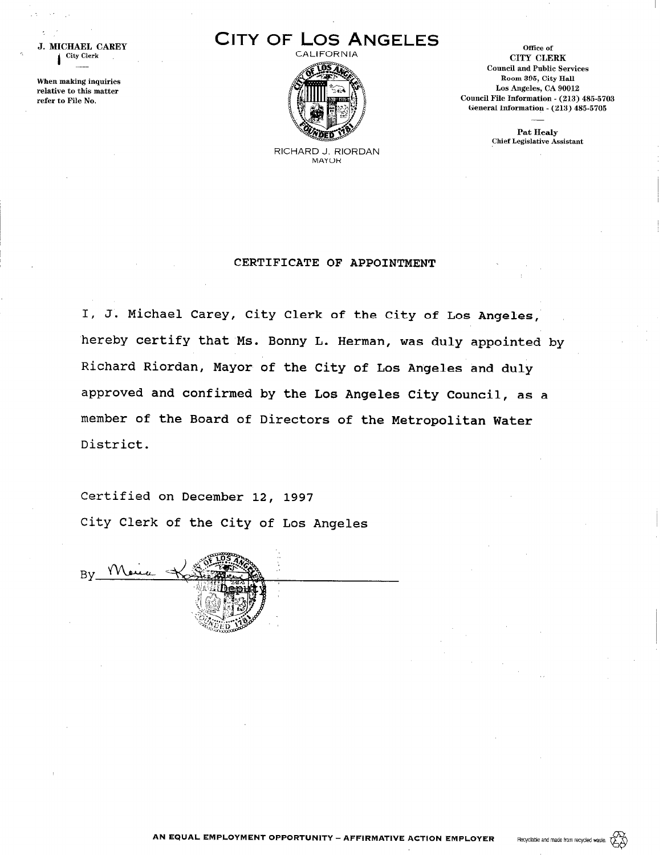



office of CITY CLERK Council and Public Services Room 395, City Hall Los Angeles, CA 90012 Council File Information - (213) 485-5703 General Information - (213) 485-5705

> Pat Healy Chief Legislative Assistant

RICHARD J. RIORDAN MAYOR

## CERTIFICATE OF APPOINTMENT

I, J. Michael Carey, City Clerk of the City of Los Angele hereby certify that Ms. Bonny L. Herman, was duly appointed by Richard Riordan, Mayor of the City of Los Angeles and duly approved and confirmed by the Los Angeles City Council, as a member of the Board of Directors of the Metropolitan Water District.

Certified on December 12, 1997 City Clerk of the City of Los Angeles

 $\mathbf{I}$ When making inquiries relative to this matter refer to File No.

By Mai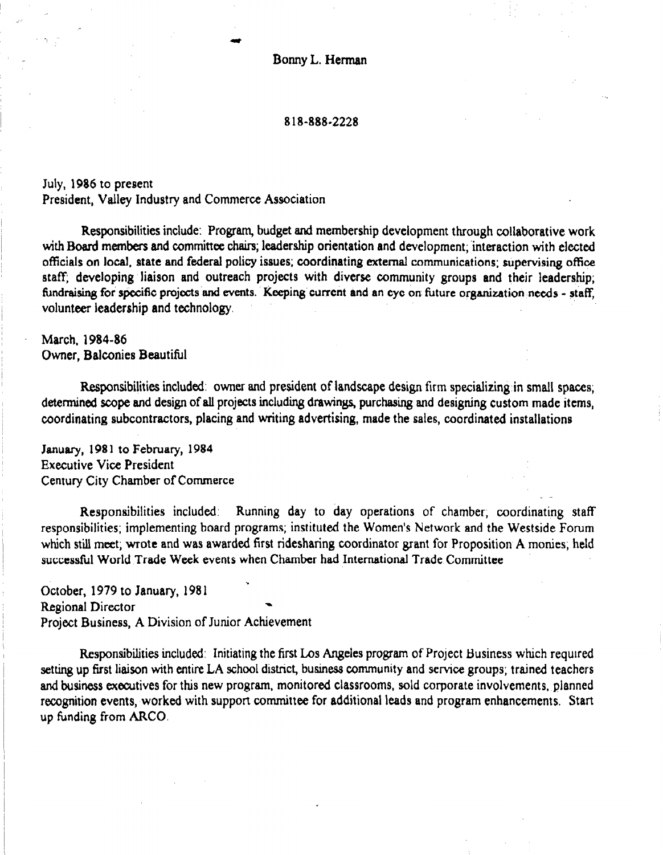Bonny L. Herman

## 8 18-888-2228

July, 1986 to present President, Valley Industry and Commerce Association

e

Responsibilities include: Program, budget and membership development through collaborative work with Board members and committee chairs; leadership orientation and development; interaction with elected officials on local, state and federal policy issues; coordinating external communications; supervising office staff; developing liaison and outreach projects with diverse community groups and their leadership; fundraising for specific projects and events. Keeping current and an eye on future organization needs - staff, volunteer leadership and technology.

March, 1984-86 Owner, Balconies Beautiful

 $\mathbf{A}$ 

Responsibilities included: owner and president of landscape design firm specializing in small spaces; determined scope and design of all projects including drawings, purchasing and designing custom made items, coordinating subcontractors, placing and writing advertising, made the sales, coordinated installations

January, 1981 to February, 1984 Executive Vice President Century City Chamber of Commerce

Responsibilities included: Running day to day operations of chamber; coordinating staff responsibilities included. Kunning day to day operations of Chamber, coordinating staff responsibilities; implementing board programs; instituted the Women's Network and the Westside Forum which still meet; wrote and was awarded first ridesharing coordinator grant for Proposition A monies, held<br>successful World Trade Week events when Chamber had International Trade Committee

October, 1979 to January, 198 1 ' October, 1979 to January, 1981 Regional Director<br>Project Business, A Division of Junior Achievement

Responsibilities included: Initiating the first Los Angeles program of Project Business which required setting up first liaison with entire LA school district, business community and service groups; trained teachers and business executives for this new program, monitored classrooms, sold corporate involvements, planned recognition events, worked with support committee for additional leads and program enhancements. Start up funding from ARCO.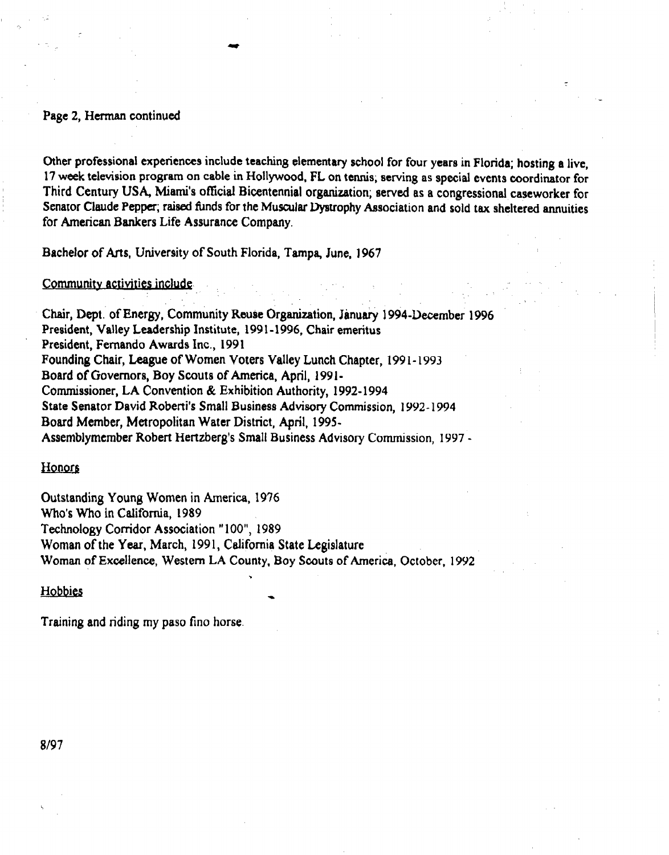## Page 2, Herman continued

Other professional experiences include teaching elementary school for four years in Florida; hosting a live, 17 we& television program on cable in Hollywood, FL on tennis; serving as special events coordinator for Third Century USA, Miami's official Bicentennial organization; served as a congressional caseworker for Senator Claude Pepper; raised funds for the Muscular Dystrophy Association and sold tax sheltered annuities for American Bankers Life Assurance Company.

. . :

Bachelor of Arts, University of South Florida, Tampa, June, 1967

Community activities include.

Chair, Dept. of Energy, Community Reuse Organization, January 1994-December 1996 President, Valley Leadership Institute, 1991-1996, Chair emeritus President, Fernando Awards Inc., 1991 Founding Chair, League of Women Voters Valley Lunch Chapter, 199 I- 1993 Board of Governors, Boy Scouts of America, April, 1991- Commissioner, LA Convention & Exhibition Authority, 1992-1994 State Senator David Roberti's Small Business Advisory Commission, 1992-1994 Board Member, Metropolitan Water District, April, 1995- Assemblymember Robert Hertzberg's Small Business Advisory Commission, 1997 -

Honors

Outstanding Young Women in America, 1976 Who's Who in California, 1989 Technology Corridor Association "100", 1989 Woman of the Year, March, 1991, California State Legislature Woman of Excellence, Western LA County, Boy Scouts of America, October, 1992 ----<br>.

Hobbies

Training and riding my paso fino horse.

a/97